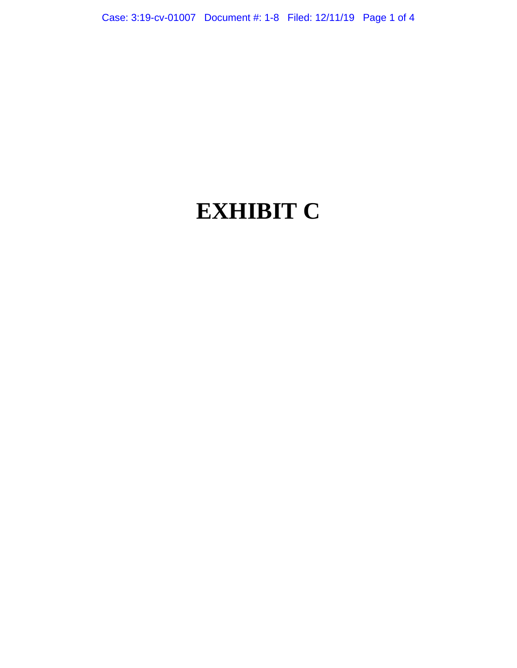# **EXHIBIT C**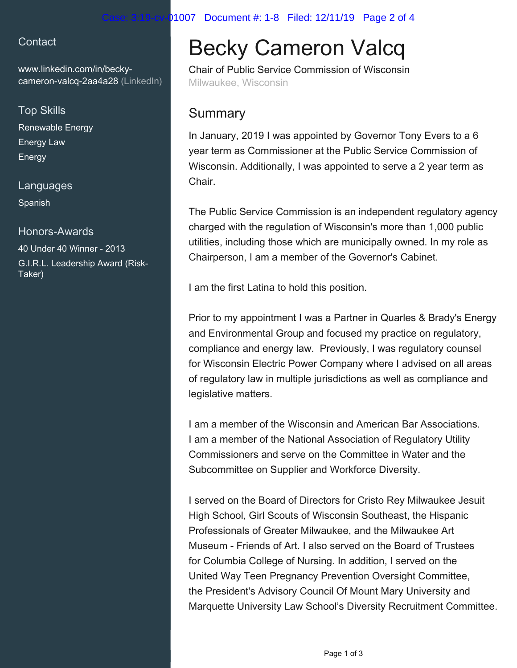## 1007 Document #: 1-8 Filed: 12/11/19 Page 2 of 4

## **Contact**

[www.linkedin.com/in/becky](https://www.linkedin.com/in/becky-cameron-valcq-2aa4a28?jobid=1234&lipi=urn%3Ali%3Apage%3Ad_jobs_easyapply_pdfgenresume%3BVGXVRLq%2BRFe0MgJaHlEISw%3D%3D&licu=urn%3Ali%3Acontrol%3Ad_jobs_easyapply_pdfgenresume-v02_profile)[cameron-valcq-2aa4a28 \(LinkedIn\)](https://www.linkedin.com/in/becky-cameron-valcq-2aa4a28?jobid=1234&lipi=urn%3Ali%3Apage%3Ad_jobs_easyapply_pdfgenresume%3BVGXVRLq%2BRFe0MgJaHlEISw%3D%3D&licu=urn%3Ali%3Acontrol%3Ad_jobs_easyapply_pdfgenresume-v02_profile)

## Top Skills

Renewable Energy Energy Law Energy

### Languages

Spanish

## Honors-Awards

40 Under 40 Winner - 2013 G.I.R.L. Leadership Award (Risk-Taker)

# Becky Cameron Valcq

Chair of Public Service Commission of Wisconsin Milwaukee, Wisconsin

# **Summary**

In January, 2019 I was appointed by Governor Tony Evers to a 6 year term as Commissioner at the Public Service Commission of Wisconsin. Additionally, I was appointed to serve a 2 year term as **Chair** 

The Public Service Commission is an independent regulatory agency charged with the regulation of Wisconsin's more than 1,000 public utilities, including those which are municipally owned. In my role as Chairperson, I am a member of the Governor's Cabinet.

I am the first Latina to hold this position.

Prior to my appointment I was a Partner in Quarles & Brady's Energy and Environmental Group and focused my practice on regulatory, compliance and energy law. Previously, I was regulatory counsel for Wisconsin Electric Power Company where I advised on all areas of regulatory law in multiple jurisdictions as well as compliance and legislative matters.

I am a member of the Wisconsin and American Bar Associations. I am a member of the National Association of Regulatory Utility Commissioners and serve on the Committee in Water and the Subcommittee on Supplier and Workforce Diversity.

I served on the Board of Directors for Cristo Rey Milwaukee Jesuit High School, Girl Scouts of Wisconsin Southeast, the Hispanic Professionals of Greater Milwaukee, and the Milwaukee Art Museum - Friends of Art. I also served on the Board of Trustees for Columbia College of Nursing. In addition, I served on the United Way Teen Pregnancy Prevention Oversight Committee, the President's Advisory Council Of Mount Mary University and Marquette University Law School's Diversity Recruitment Committee.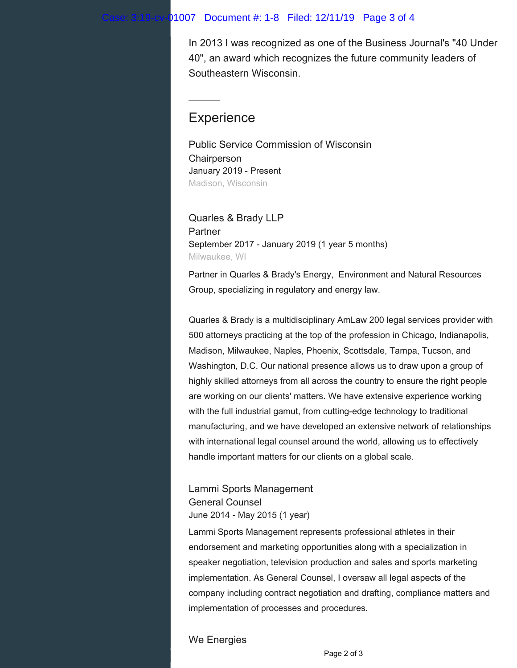#### 1007 Document #: 1-8 Filed: 12/11/19 Page 3 of 4

In 2013 I was recognized as one of the Business Journal's "40 Under 40", an award which recognizes the future community leaders of Southeastern Wisconsin.

# **Experience**

Public Service Commission of Wisconsin **Chairperson** January 2019 - Present Madison, Wisconsin

Quarles & Brady LLP Partner September 2017 - January 2019 (1 year 5 months) Milwaukee, WI

Partner in Quarles & Brady's Energy, Environment and Natural Resources Group, specializing in regulatory and energy law.

Quarles & Brady is a multidisciplinary AmLaw 200 legal services provider with 500 attorneys practicing at the top of the profession in Chicago, Indianapolis, Madison, Milwaukee, Naples, Phoenix, Scottsdale, Tampa, Tucson, and Washington, D.C. Our national presence allows us to draw upon a group of highly skilled attorneys from all across the country to ensure the right people are working on our clients' matters. We have extensive experience working with the full industrial gamut, from cutting-edge technology to traditional manufacturing, and we have developed an extensive network of relationships with international legal counsel around the world, allowing us to effectively handle important matters for our clients on a global scale.

Lammi Sports Management General Counsel June 2014 - May 2015 (1 year)

Lammi Sports Management represents professional athletes in their endorsement and marketing opportunities along with a specialization in speaker negotiation, television production and sales and sports marketing implementation. As General Counsel, I oversaw all legal aspects of the company including contract negotiation and drafting, compliance matters and implementation of processes and procedures.

#### We Energies